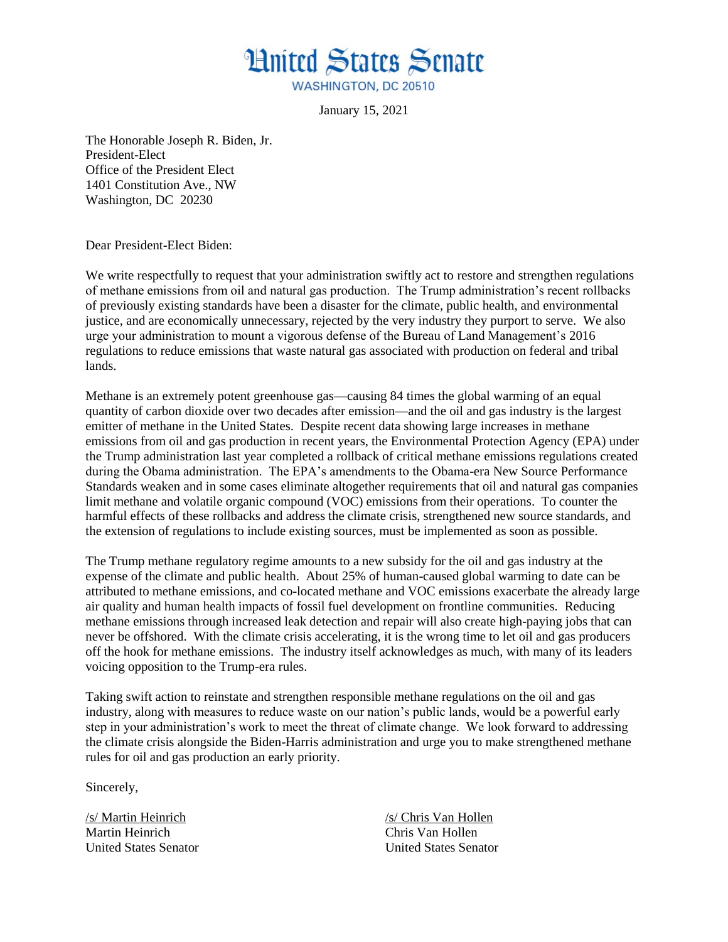

January 15, 2021

The Honorable Joseph R. Biden, Jr. President-Elect Office of the President Elect 1401 Constitution Ave., NW Washington, DC 20230

Dear President-Elect Biden:

We write respectfully to request that your administration swiftly act to restore and strengthen regulations of methane emissions from oil and natural gas production. The Trump administration's recent rollbacks of previously existing standards have been a disaster for the climate, public health, and environmental justice, and are economically unnecessary, rejected by the very industry they purport to serve. We also urge your administration to mount a vigorous defense of the Bureau of Land Management's 2016 regulations to reduce emissions that waste natural gas associated with production on federal and tribal lands.

Methane is an extremely potent greenhouse gas—causing 84 times the global warming of an equal quantity of carbon dioxide over two decades after emission—and the oil and gas industry is the largest emitter of methane in the United States. Despite recent data showing large increases in methane emissions from oil and gas production in recent years, the Environmental Protection Agency (EPA) under the Trump administration last year completed a rollback of critical methane emissions regulations created during the Obama administration. The EPA's amendments to the Obama-era New Source Performance Standards weaken and in some cases eliminate altogether requirements that oil and natural gas companies limit methane and volatile organic compound (VOC) emissions from their operations. To counter the harmful effects of these rollbacks and address the climate crisis, strengthened new source standards, and the extension of regulations to include existing sources, must be implemented as soon as possible.

The Trump methane regulatory regime amounts to a new subsidy for the oil and gas industry at the expense of the climate and public health. About 25% of human-caused global warming to date can be attributed to methane emissions, and co-located methane and VOC emissions exacerbate the already large air quality and human health impacts of fossil fuel development on frontline communities. Reducing methane emissions through increased leak detection and repair will also create high-paying jobs that can never be offshored. With the climate crisis accelerating, it is the wrong time to let oil and gas producers off the hook for methane emissions. The industry itself acknowledges as much, with many of its leaders voicing opposition to the Trump-era rules.

Taking swift action to reinstate and strengthen responsible methane regulations on the oil and gas industry, along with measures to reduce waste on our nation's public lands, would be a powerful early step in your administration's work to meet the threat of climate change. We look forward to addressing the climate crisis alongside the Biden-Harris administration and urge you to make strengthened methane rules for oil and gas production an early priority.

Sincerely,

Martin Heinrich Chris Van Hollen

/s/ Martin Heinrich /s/ Chris Van Hollen United States Senator United States Senator